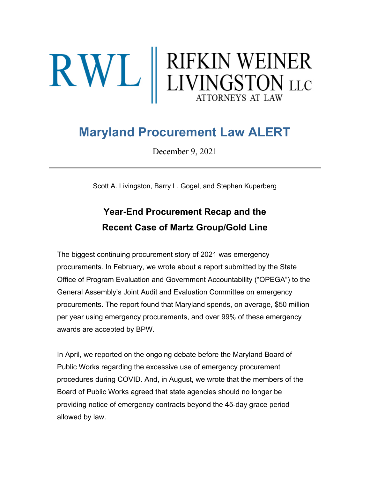# $\mathbf{R}\mathbf{W}\mathbf{L}$  RIFKIN WEINER

# **Maryland Procurement Law ALERT**

December 9, 2021

Scott A. Livingston, Barry L. Gogel, and Stephen Kuperberg

## **Year-End Procurement Recap and the Recent Case of Martz Group/Gold Line**

The biggest continuing procurement story of 2021 was emergency procurements. In February, we wrote about a report submitted by the State Office of Program Evaluation and Government Accountability ("OPEGA") to the General Assembly's Joint Audit and Evaluation Committee on emergency procurements. The report found that Maryland spends, on average, \$50 million per year using emergency procurements, and over 99% of these emergency awards are accepted by BPW.

In April, we reported on the ongoing debate before the Maryland Board of Public Works regarding the excessive use of emergency procurement procedures during COVID. And, in August, we wrote that the members of the Board of Public Works agreed that state agencies should no longer be providing notice of emergency contracts beyond the 45-day grace period allowed by law.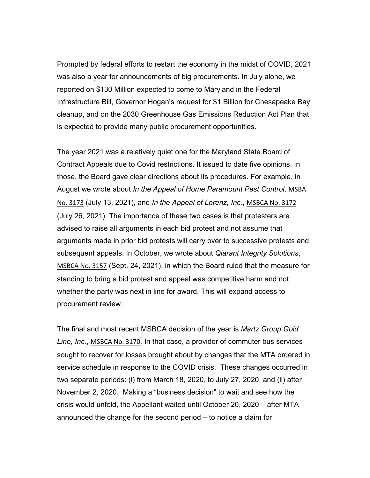Prompted by federal efforts to restart the economy in the midst of COVID, 2021 was also a year for announcements of big procurements. In July alone, we reported on \$130 Million expected to come to Maryland in the Federal Infrastructure Bill, Governor Hogan's request for \$1 Billion for Chesapeake Bay cleanup, and on the 2030 Greenhouse Gas Emissions Reduction Act Plan that is expected to provide many public procurement opportunities.

The year 2021 was a relatively quiet one for the Maryland State Board of Contract Appeals due to Covid restrictions. It issued to date five opinions. In those, the Board gave clear directions about its procedures. For example, in August we wrote about *In the Appeal of Home Paramount Pest Control*, [MSBA](https://urldefense.proofpoint.com/v2/url?u=https-3A__rwllaw.us17.list-2Dmanage.com_track_click-3Fu-3D54ef6e177bdc9c6b7423b884f-26id-3D1a0724f34e-26e-3De1a2d5185f&d=DwMFaQ&c=euGZstcaTDllvimEN8b7jXrwqOf-v5A_CdpgnVfiiMM&r=PniFs5wiIJH0WjwKWsZcKA&m=7gPosfQy23aXCWdF5dnpfsUOcPmzZq88U_aDg4TyOxE&s=6IxEXXFbSoHOZC2MVNka0ElC2OKNd9dgjyJp4tUHvWQ&e=)  [No. 3173](https://urldefense.proofpoint.com/v2/url?u=https-3A__rwllaw.us17.list-2Dmanage.com_track_click-3Fu-3D54ef6e177bdc9c6b7423b884f-26id-3D1a0724f34e-26e-3De1a2d5185f&d=DwMFaQ&c=euGZstcaTDllvimEN8b7jXrwqOf-v5A_CdpgnVfiiMM&r=PniFs5wiIJH0WjwKWsZcKA&m=7gPosfQy23aXCWdF5dnpfsUOcPmzZq88U_aDg4TyOxE&s=6IxEXXFbSoHOZC2MVNka0ElC2OKNd9dgjyJp4tUHvWQ&e=) (July 13, 2021), and *In the Appeal of Lorenz, Inc.*, [MSBCA No.](https://urldefense.proofpoint.com/v2/url?u=https-3A__rwllaw.us17.list-2Dmanage.com_track_click-3Fu-3D54ef6e177bdc9c6b7423b884f-26id-3D9c09ea3477-26e-3De1a2d5185f&d=DwMFaQ&c=euGZstcaTDllvimEN8b7jXrwqOf-v5A_CdpgnVfiiMM&r=PniFs5wiIJH0WjwKWsZcKA&m=7gPosfQy23aXCWdF5dnpfsUOcPmzZq88U_aDg4TyOxE&s=Yjfxo0n9wY9HmbTgIKkhlzQeio2uc_9nWsF4rshus4A&e=) 3172 (July 26, 2021). The importance of these two cases is that protesters are advised to raise all arguments in each bid protest and not assume that arguments made in prior bid protests will carry over to successive protests and subsequent appeals. In October, we wrote about *Qlarant Integrity Solutions*, MSBCA [No. 3157](https://urldefense.proofpoint.com/v2/url?u=https-3A__rwllaw.us17.list-2Dmanage.com_track_click-3Fu-3D54ef6e177bdc9c6b7423b884f-26id-3D9893d2ba76-26e-3De1a2d5185f&d=DwMFaQ&c=euGZstcaTDllvimEN8b7jXrwqOf-v5A_CdpgnVfiiMM&r=PniFs5wiIJH0WjwKWsZcKA&m=7gPosfQy23aXCWdF5dnpfsUOcPmzZq88U_aDg4TyOxE&s=Bh3avfnZKS9oOVNnpAh1vmHX-gCCG8Kjz1OPT_QjZDA&e=) (Sept. 24, 2021), in which the Board ruled that the measure for standing to bring a bid protest and appeal was competitive harm and not whether the party was next in line for award. This will expand access to procurement review.

The final and most recent MSBCA decision of the year is *Martz Group Gold Line, Inc.*, [MSBCA No. 3170](https://urldefense.proofpoint.com/v2/url?u=https-3A__rwllaw.us17.list-2Dmanage.com_track_click-3Fu-3D54ef6e177bdc9c6b7423b884f-26id-3D1cb58749d5-26e-3De1a2d5185f&d=DwMFaQ&c=euGZstcaTDllvimEN8b7jXrwqOf-v5A_CdpgnVfiiMM&r=PniFs5wiIJH0WjwKWsZcKA&m=7gPosfQy23aXCWdF5dnpfsUOcPmzZq88U_aDg4TyOxE&s=DBfh6dbt9rhKdezUm-KqOn7c2GYWHzg532awK2XnagU&e=). In that case, a provider of commuter bus services sought to recover for losses brought about by changes that the MTA ordered in service schedule in response to the COVID crisis. These changes occurred in two separate periods: (i) from March 18, 2020, to July 27, 2020, and (ii) after November 2, 2020. Making a "business decision" to wait and see how the crisis would unfold, the Appellant waited until October 20, 2020 – after MTA announced the change for the second period – to notice a claim for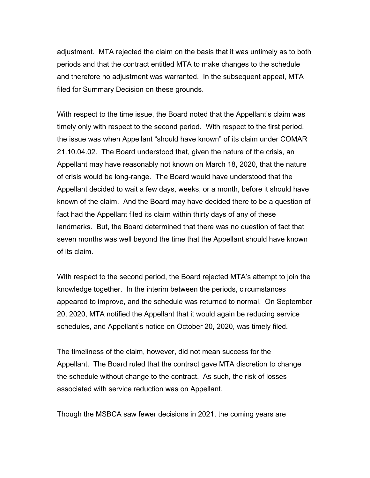adjustment. MTA rejected the claim on the basis that it was untimely as to both periods and that the contract entitled MTA to make changes to the schedule and therefore no adjustment was warranted. In the subsequent appeal, MTA filed for Summary Decision on these grounds.

With respect to the time issue, the Board noted that the Appellant's claim was timely only with respect to the second period. With respect to the first period, the issue was when Appellant "should have known" of its claim under COMAR 21.10.04.02. The Board understood that, given the nature of the crisis, an Appellant may have reasonably not known on March 18, 2020, that the nature of crisis would be long-range. The Board would have understood that the Appellant decided to wait a few days, weeks, or a month, before it should have known of the claim. And the Board may have decided there to be a question of fact had the Appellant filed its claim within thirty days of any of these landmarks. But, the Board determined that there was no question of fact that seven months was well beyond the time that the Appellant should have known of its claim.

With respect to the second period, the Board rejected MTA's attempt to join the knowledge together. In the interim between the periods, circumstances appeared to improve, and the schedule was returned to normal. On September 20, 2020, MTA notified the Appellant that it would again be reducing service schedules, and Appellant's notice on October 20, 2020, was timely filed.

The timeliness of the claim, however, did not mean success for the Appellant. The Board ruled that the contract gave MTA discretion to change the schedule without change to the contract. As such, the risk of losses associated with service reduction was on Appellant.

Though the MSBCA saw fewer decisions in 2021, the coming years are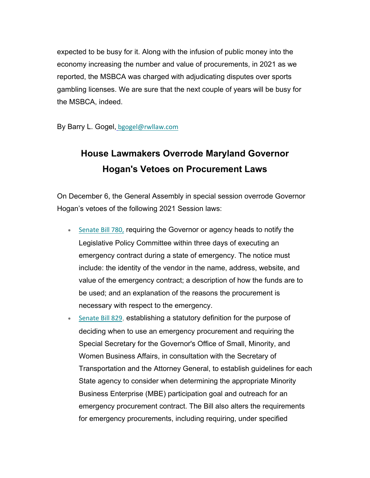expected to be busy for it. Along with the infusion of public money into the economy increasing the number and value of procurements, in 2021 as we reported, the MSBCA was charged with adjudicating disputes over sports gambling licenses. We are sure that the next couple of years will be busy for the MSBCA, indeed.

By Barry L. Gogel, [bgogel@rwllaw.com](https://urldefense.proofpoint.com/v2/url?u=https-3A__rwllaw.us17.list-2Dmanage.com_track_click-3Fu-3D54ef6e177bdc9c6b7423b884f-26id-3Da3b78d4b82-26e-3De1a2d5185f&d=DwMFaQ&c=euGZstcaTDllvimEN8b7jXrwqOf-v5A_CdpgnVfiiMM&r=PniFs5wiIJH0WjwKWsZcKA&m=7gPosfQy23aXCWdF5dnpfsUOcPmzZq88U_aDg4TyOxE&s=oeJQbro_XC1tEUL2wN38_hHgSWtjS3ctzGy0sCZxZbU&e=)

### **House Lawmakers Overrode Maryland Governor Hogan's Vetoes on Procurement Laws**

On December 6, the General Assembly in special session overrode Governor Hogan's vetoes of the following 2021 Session laws:

- [Senate Bill 780](https://urldefense.proofpoint.com/v2/url?u=https-3A__rwllaw.us17.list-2Dmanage.com_track_click-3Fu-3D54ef6e177bdc9c6b7423b884f-26id-3Da0296f8e14-26e-3De1a2d5185f&d=DwMFaQ&c=euGZstcaTDllvimEN8b7jXrwqOf-v5A_CdpgnVfiiMM&r=PniFs5wiIJH0WjwKWsZcKA&m=7gPosfQy23aXCWdF5dnpfsUOcPmzZq88U_aDg4TyOxE&s=EvQA_KOOxma5lKbk-NiWacklfAz8__m1Wz7v5vquUMA&e=)[,](https://urldefense.proofpoint.com/v2/url?u=https-3A__rwllaw.us17.list-2Dmanage.com_track_click-3Fu-3D54ef6e177bdc9c6b7423b884f-26id-3Dda65627e90-26e-3De1a2d5185f&d=DwMFaQ&c=euGZstcaTDllvimEN8b7jXrwqOf-v5A_CdpgnVfiiMM&r=PniFs5wiIJH0WjwKWsZcKA&m=7gPosfQy23aXCWdF5dnpfsUOcPmzZq88U_aDg4TyOxE&s=3l8Ee8ZD7If7fLDEPUR_tK7cig_biH3Q2zAl6a4uRpg&e=) requiring the Governor or agency heads to notify the Legislative Policy Committee within three days of executing an emergency contract during a state of emergency. The notice must include: the identity of the vendor in the name, address, website, and value of the emergency contract; a description of how the funds are to be used; and an explanation of the reasons the procurement is necessary with respect to the emergency.
- [Senate Bill 829](https://urldefense.proofpoint.com/v2/url?u=https-3A__rwllaw.us17.list-2Dmanage.com_track_click-3Fu-3D54ef6e177bdc9c6b7423b884f-26id-3D7571cb68b8-26e-3De1a2d5185f&d=DwMFaQ&c=euGZstcaTDllvimEN8b7jXrwqOf-v5A_CdpgnVfiiMM&r=PniFs5wiIJH0WjwKWsZcKA&m=7gPosfQy23aXCWdF5dnpfsUOcPmzZq88U_aDg4TyOxE&s=swg7ra9R1pQDRgHm2ny_0z4s3rDyZXgDADX_axskcBA&e=), establishing a statutory definition for the purpose of deciding when to use an emergency procurement and requiring the Special Secretary for the Governor's Office of Small, Minority, and Women Business Affairs, in consultation with the Secretary of Transportation and the Attorney General, to establish guidelines for each State agency to consider when determining the appropriate Minority Business Enterprise (MBE) participation goal and outreach for an emergency procurement contract. The Bill also alters the requirements for emergency procurements, including requiring, under specified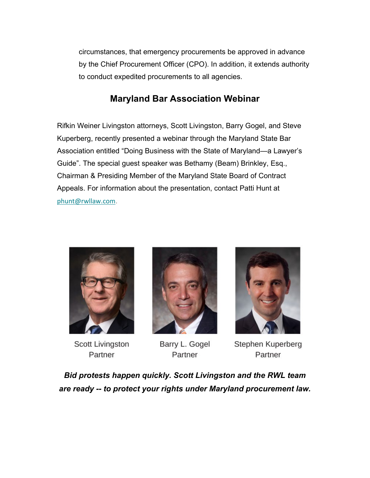circumstances, that emergency procurements be approved in advance by the Chief Procurement Officer (CPO). In addition, it extends authority to conduct expedited procurements to all agencies.

### **Maryland Bar Association Webinar**

Rifkin Weiner Livingston attorneys, Scott Livingston, Barry Gogel, and Steve Kuperberg, recently presented a webinar through the Maryland State Bar Association entitled "Doing Business with the State of Maryland—a Lawyer's Guide". The special guest speaker was Bethamy (Beam) Brinkley, Esq., Chairman & Presiding Member of the Maryland State Board of Contract Appeals. For information about the presentation, contact Patti Hunt at [phunt@rwllaw.com](https://urldefense.proofpoint.com/v2/url?u=https-3A__rwllaw.us17.list-2Dmanage.com_track_click-3Fu-3D54ef6e177bdc9c6b7423b884f-26id-3D08d0b11ff2-26e-3De1a2d5185f&d=DwMFaQ&c=euGZstcaTDllvimEN8b7jXrwqOf-v5A_CdpgnVfiiMM&r=PniFs5wiIJH0WjwKWsZcKA&m=7gPosfQy23aXCWdF5dnpfsUOcPmzZq88U_aDg4TyOxE&s=1mUxSgZ_MHlo_PUV5ntQxwfyYxica2l6vAjKdc9EYFI&e=).



Scott Livingston Partner



Barry L. Gogel Partner



Stephen Kuperberg Partner

*Bid protests happen quickly. Scott Livingston and the RWL team are ready -- to protect your rights under Maryland procurement law.*